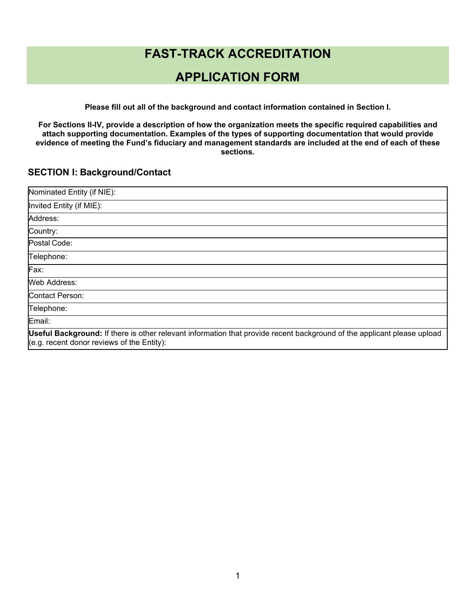# **FAST-TRACK ACCREDITATION**

# **APPLICATION FORM**

**Please fill out all of the background and contact information contained in Section I.**

**For Sections II-IV, provide a description of how the organization meets the specific required capabilities and attach supporting documentation. Examples of the types of supporting documentation that would provide evidence of meeting the Fund's fiduciary and management standards are included at the end of each of these sections.**

### **SECTION I: Background/Contact**

| Nominated Entity (if NIE):                                                                                                                                            |
|-----------------------------------------------------------------------------------------------------------------------------------------------------------------------|
| Invited Entity (if MIE):                                                                                                                                              |
| Address:                                                                                                                                                              |
| Country:                                                                                                                                                              |
| Postal Code:                                                                                                                                                          |
| Telephone:                                                                                                                                                            |
| Fax:                                                                                                                                                                  |
| <b>Web Address:</b>                                                                                                                                                   |
| Contact Person:                                                                                                                                                       |
| Telephone:                                                                                                                                                            |
| Email:                                                                                                                                                                |
| Useful Background: If there is other relevant information that provide recent background of the applicant please upload<br>(e.g. recent donor reviews of the Entity): |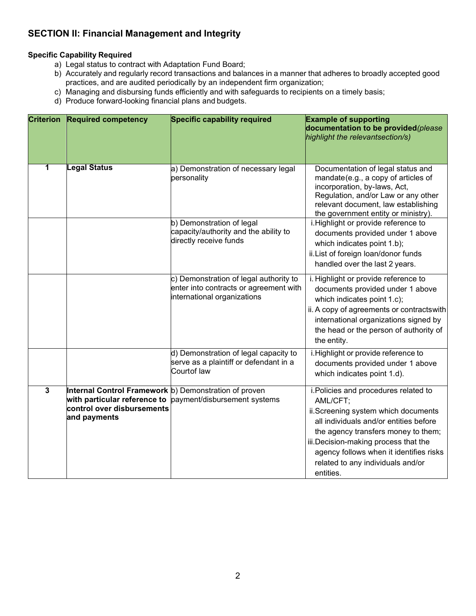# **SECTION II: Financial Management and Integrity**

#### **Specific Capability Required**

- a) Legal status to contract with Adaptation Fund Board;
- b) Accurately and regularly record transactions and balances in a manner that adheres to broadly accepted good practices, and are audited periodically by an independent firm organization;
- c) Managing and disbursing funds efficiently and with safeguards to recipients on a timely basis;
- d) Produce forward-looking financial plans and budgets.

| <b>Criterion</b>        | <b>Required competency</b>                                                                                                          | Specific capability required                                                                                    | <b>Example of supporting</b><br>documentation to be provided(please<br>highlight the relevantsection/s)                                                                                                                                                                                                        |
|-------------------------|-------------------------------------------------------------------------------------------------------------------------------------|-----------------------------------------------------------------------------------------------------------------|----------------------------------------------------------------------------------------------------------------------------------------------------------------------------------------------------------------------------------------------------------------------------------------------------------------|
| 1                       | <b>Legal Status</b>                                                                                                                 | a) Demonstration of necessary legal<br>personality                                                              | Documentation of legal status and<br>mandate(e.g., a copy of articles of<br>incorporation, by-laws, Act,<br>Regulation, and/or Law or any other<br>relevant document, law establishing<br>the government entity or ministry).                                                                                  |
|                         |                                                                                                                                     | b) Demonstration of legal<br>capacity/authority and the ability to<br>directly receive funds                    | i. Highlight or provide reference to<br>documents provided under 1 above<br>which indicates point 1.b);<br>ii. List of foreign loan/donor funds<br>handled over the last 2 years.                                                                                                                              |
|                         |                                                                                                                                     | c) Demonstration of legal authority to<br>enter into contracts or agreement with<br>international organizations | i. Highlight or provide reference to<br>documents provided under 1 above<br>which indicates point 1.c);<br>ii. A copy of agreements or contractswith<br>international organizations signed by<br>the head or the person of authority of<br>the entity.                                                         |
|                         |                                                                                                                                     | d) Demonstration of legal capacity to<br>serve as a plaintiff or defendant in a<br>Courtof law                  | i. Highlight or provide reference to<br>documents provided under 1 above<br>which indicates point 1.d).                                                                                                                                                                                                        |
| $\overline{\mathbf{3}}$ | Internal Control Framework b) Demonstration of proven<br>with particular reference to<br>control over disbursements<br>and payments | payment/disbursement systems                                                                                    | i. Policies and procedures related to<br>AML/CFT;<br>ii.Screening system which documents<br>all individuals and/or entities before<br>the agency transfers money to them;<br>iii.Decision-making process that the<br>agency follows when it identifies risks<br>related to any individuals and/or<br>entities. |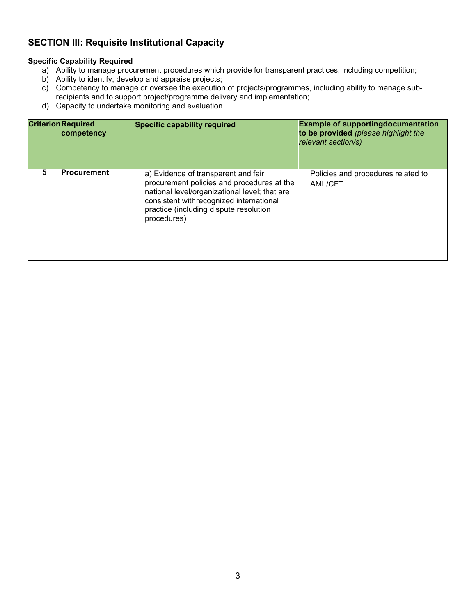### **SECTION III: Requisite Institutional Capacity**

### **Specific Capability Required**

- a) Ability to manage procurement procedures which provide for transparent practices, including competition;
- b) Ability to identify, develop and appraise projects;
- c) Competency to manage or oversee the execution of projects/programmes, including ability to manage subrecipients and to support project/programme delivery and implementation;
- d) Capacity to undertake monitoring and evaluation.

|   | <b>CriterionRequired</b><br>competency | <b>Specific capability required</b>                                                                                                                                                                                                    | <b>Example of supportingdocumentation</b><br>to be provided (please highlight the<br>relevant section/s) |
|---|----------------------------------------|----------------------------------------------------------------------------------------------------------------------------------------------------------------------------------------------------------------------------------------|----------------------------------------------------------------------------------------------------------|
| 5 | <b>Procurement</b>                     | a) Evidence of transparent and fair<br>procurement policies and procedures at the<br>national level/organizational level; that are<br>consistent withrecognized international<br>practice (including dispute resolution<br>procedures) | Policies and procedures related to<br>AML/CFT.                                                           |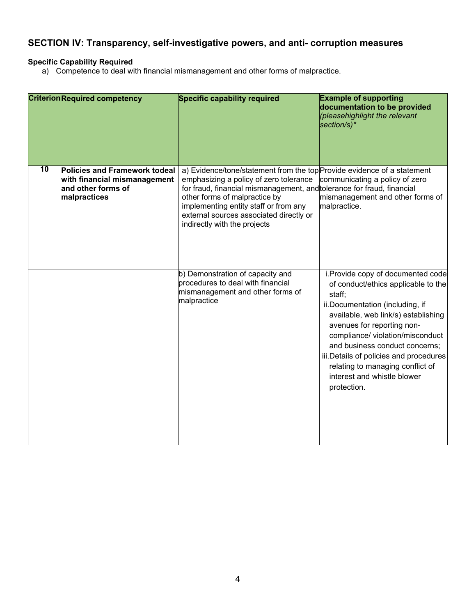## **SECTION IV: Transparency, self-investigative powers, and anti- corruption measures**

### **Specific Capability Required**

a) Competence to deal with financial mismanagement and other forms of malpractice.

|    | <b>Criterion Required competency</b>                                                                       | Specific capability required                                                                                                                                                                                                                                                                                                                     | <b>Example of supporting</b><br>documentation to be provided<br>(pleasehighlight the relevant<br>section/s)*                                                                                                                                                                                                                                                                                   |
|----|------------------------------------------------------------------------------------------------------------|--------------------------------------------------------------------------------------------------------------------------------------------------------------------------------------------------------------------------------------------------------------------------------------------------------------------------------------------------|------------------------------------------------------------------------------------------------------------------------------------------------------------------------------------------------------------------------------------------------------------------------------------------------------------------------------------------------------------------------------------------------|
| 10 | <b>Policies and Framework todeal</b><br>with financial mismanagement<br>and other forms of<br>malpractices | a) Evidence/tone/statement from the top Provide evidence of a statement<br>emphasizing a policy of zero tolerance<br>for fraud, financial mismanagement, and tolerance for fraud, financial<br>other forms of malpractice by<br>implementing entity staff or from any<br>external sources associated directly or<br>indirectly with the projects | communicating a policy of zero<br>mismanagement and other forms of<br>malpractice.                                                                                                                                                                                                                                                                                                             |
|    |                                                                                                            | b) Demonstration of capacity and<br>procedures to deal with financial<br>mismanagement and other forms of<br>malpractice                                                                                                                                                                                                                         | i. Provide copy of documented code<br>of conduct/ethics applicable to the<br>staff;<br>ii.Documentation (including, if<br>available, web link/s) establishing<br>avenues for reporting non-<br>compliance/ violation/misconduct<br>and business conduct concerns;<br>iii. Details of policies and procedures<br>relating to managing conflict of<br>interest and whistle blower<br>protection. |